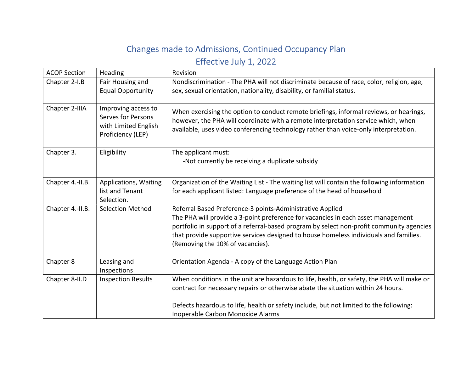## Changes made to Admissions, Continued Occupancy Plan Effective July 1, 2022

| <b>ACOP Section</b> | Heading                                                                                | Revision                                                                                                                                                                                                                                                                                                                                                               |
|---------------------|----------------------------------------------------------------------------------------|------------------------------------------------------------------------------------------------------------------------------------------------------------------------------------------------------------------------------------------------------------------------------------------------------------------------------------------------------------------------|
| Chapter 2-I.B       | Fair Housing and<br><b>Equal Opportunity</b>                                           | Nondiscrimination - The PHA will not discriminate because of race, color, religion, age,<br>sex, sexual orientation, nationality, disability, or familial status.                                                                                                                                                                                                      |
| Chapter 2-IIIA      | Improving access to<br>Serves for Persons<br>with Limited English<br>Proficiency (LEP) | When exercising the option to conduct remote briefings, informal reviews, or hearings,<br>however, the PHA will coordinate with a remote interpretation service which, when<br>available, uses video conferencing technology rather than voice-only interpretation.                                                                                                    |
| Chapter 3.          | Eligibility                                                                            | The applicant must:<br>-Not currently be receiving a duplicate subsidy                                                                                                                                                                                                                                                                                                 |
| Chapter 4.-II.B.    | Applications, Waiting<br>list and Tenant<br>Selection.                                 | Organization of the Waiting List - The waiting list will contain the following information<br>for each applicant listed: Language preference of the head of household                                                                                                                                                                                                  |
| Chapter 4.-II.B.    | <b>Selection Method</b>                                                                | Referral Based Preference-3 points-Administrative Applied<br>The PHA will provide a 3-point preference for vacancies in each asset management<br>portfolio in support of a referral-based program by select non-profit community agencies<br>that provide supportive services designed to house homeless individuals and families.<br>(Removing the 10% of vacancies). |
| Chapter 8           | Leasing and<br>Inspections                                                             | Orientation Agenda - A copy of the Language Action Plan                                                                                                                                                                                                                                                                                                                |
| Chapter 8-II.D      | <b>Inspection Results</b>                                                              | When conditions in the unit are hazardous to life, health, or safety, the PHA will make or<br>contract for necessary repairs or otherwise abate the situation within 24 hours.                                                                                                                                                                                         |
|                     |                                                                                        | Defects hazardous to life, health or safety include, but not limited to the following:<br>Inoperable Carbon Monoxide Alarms                                                                                                                                                                                                                                            |